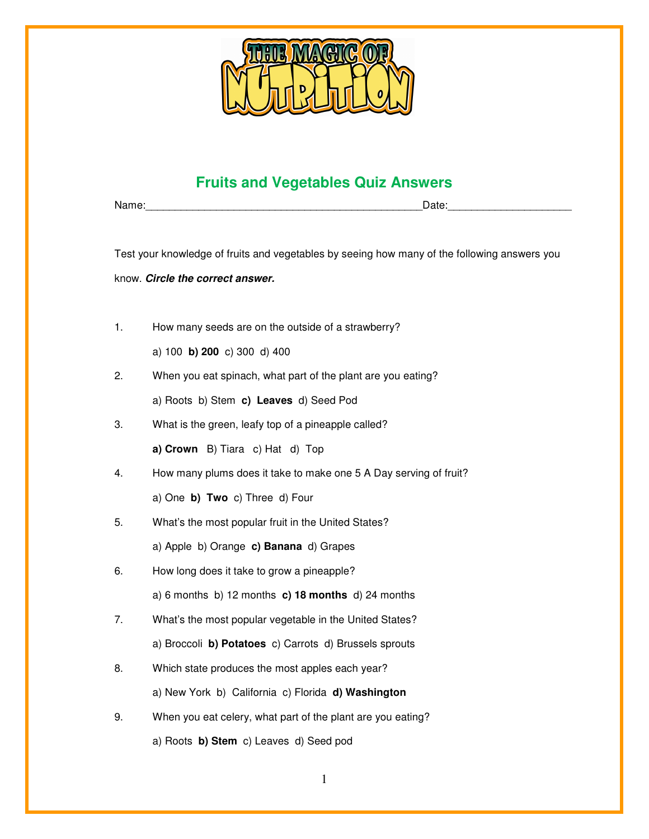

## **Fruits and Vegetables Quiz Answers**

Name: where the contract of the contract of the contract of the contract of the contract of the contract of the contract of the contract of the contract of the contract of the contract of the contract of the contract of th

Test your knowledge of fruits and vegetables by seeing how many of the following answers you

know. **Circle the correct answer.** 

1. How many seeds are on the outside of a strawberry?

a) 100 **b) 200** c) 300 d) 400

2. When you eat spinach, what part of the plant are you eating?

a) Roots b) Stem **c) Leaves** d) Seed Pod

- 3. What is the green, leafy top of a pineapple called?
	- **a) Crown** B) Tiara c) Hat d) Top
- 4. How many plums does it take to make one 5 A Day serving of fruit?

a) One **b) Two** c) Three d) Four

5. What's the most popular fruit in the United States?

a) Apple b) Orange **c) Banana** d) Grapes

6. How long does it take to grow a pineapple?

a) 6 months b) 12 months **c) 18 months** d) 24 months

7. What's the most popular vegetable in the United States?

a) Broccoli **b) Potatoes** c) Carrots d) Brussels sprouts

8. Which state produces the most apples each year?

a) New York b) California c) Florida **d) Washington**

- 9. When you eat celery, what part of the plant are you eating?
	- a) Roots **b) Stem** c) Leaves d) Seed pod